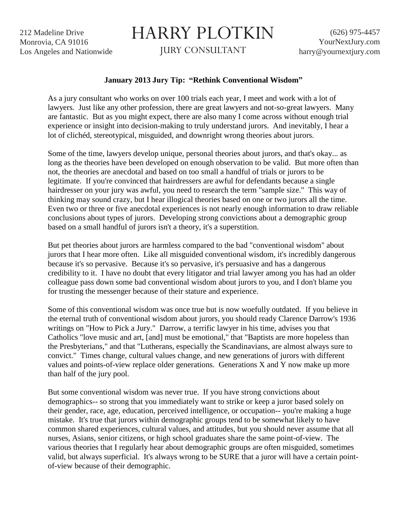212 Madeline Drive Monrovia, CA 91016 Los Angeles and Nationwide

## HARRY PLOTKIN

JURY CONSULTANT

## **January 2013 Jury Tip: "Rethink Conventional Wisdom"**

As a jury consultant who works on over 100 trials each year, I meet and work with a lot of lawyers. Just like any other profession, there are great lawyers and not-so-great lawyers. Many are fantastic. But as you might expect, there are also many I come across without enough trial experience or insight into decision-making to truly understand jurors. And inevitably, I hear a lot of clichéd, stereotypical, misguided, and downright wrong theories about jurors.

Some of the time, lawyers develop unique, personal theories about jurors, and that's okay... as long as the theories have been developed on enough observation to be valid. But more often than not, the theories are anecdotal and based on too small a handful of trials or jurors to be legitimate. If you're convinced that hairdressers are awful for defendants because a single hairdresser on your jury was awful, you need to research the term "sample size." This way of thinking may sound crazy, but I hear illogical theories based on one or two jurors all the time. Even two or three or five anecdotal experiences is not nearly enough information to draw reliable conclusions about types of jurors. Developing strong convictions about a demographic group based on a small handful of jurors isn't a theory, it's a superstition.

But pet theories about jurors are harmless compared to the bad "conventional wisdom" about jurors that I hear more often. Like all misguided conventional wisdom, it's incredibly dangerous because it's so pervasive. Because it's so pervasive, it's persuasive and has a dangerous credibility to it. I have no doubt that every litigator and trial lawyer among you has had an older colleague pass down some bad conventional wisdom about jurors to you, and I don't blame you for trusting the messenger because of their stature and experience.

Some of this conventional wisdom was once true but is now woefully outdated. If you believe in the eternal truth of conventional wisdom about jurors, you should ready Clarence Darrow's 1936 writings on "How to Pick a Jury." Darrow, a terrific lawyer in his time, advises you that Catholics "love music and art, [and] must be emotional," that "Baptists are more hopeless than the Presbyterians," and that "Lutherans, especially the Scandinavians, are almost always sure to convict." Times change, cultural values change, and new generations of jurors with different values and points-of-view replace older generations. Generations X and Y now make up more than half of the jury pool.

But some conventional wisdom was never true. If you have strong convictions about demographics-- so strong that you immediately want to strike or keep a juror based solely on their gender, race, age, education, perceived intelligence, or occupation-- you're making a huge mistake. It's true that jurors within demographic groups tend to be somewhat likely to have common shared experiences, cultural values, and attitudes, but you should never assume that all nurses, Asians, senior citizens, or high school graduates share the same point-of-view. The various theories that I regularly hear about demographic groups are often misguided, sometimes valid, but always superficial. It's always wrong to be SURE that a juror will have a certain pointof-view because of their demographic.